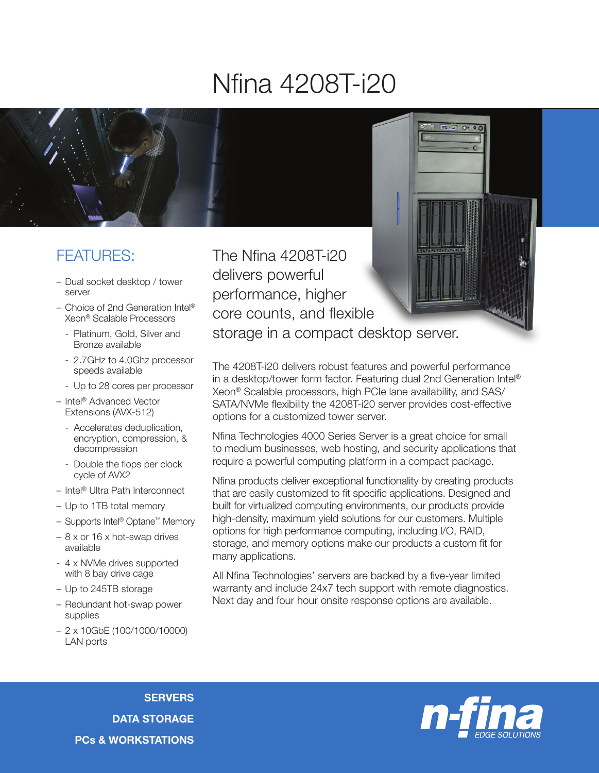## Nfina 4208T-i20



## FEATURES:

- Dual socket desktop / tower server
- Choice of 2nd Generation Intel® Xeon® Scalable Processors
	- Platinum, Gold, Silver and Bronze available
	- 2.7GHz to 4.0Ghz processor speeds available
	- Up to 28 cores per processor
- Intel® Advanced Vector Extensions (AVX-512)
	- Accelerates deduplication, encryption, compression, & decompression
	- Double the flops per clock cycle of AVX2
- Intel® Ultra Path Interconnect
- Up to 1TB total memory
- Supports Intel® Optane™ Memory
- 8 x or 16 x hot-swap drives available
- 4 x NVMe drives supported with 8 bay drive cage
- Up to 245TB storage
- Redundant hot-swap power supplies
- 2 x 10GbE (100/1000/10000) LAN ports

The Nfina 4208T-i20 delivers powerful performance, higher core counts, and flexible storage in a compact desktop server.

The 4208T-i20 delivers robust features and powerful performance in a desktop/tower form factor. Featuring dual 2nd Generation Intel® Xeon® Scalable processors, high PCIe lane availability, and SAS/ SATA/NVMe flexibility the 4208T-i20 server provides cost-effective options for a customized tower server.

Nfina Technologies 4000 Series Server is a great choice for small to medium businesses, web hosting, and security applications that require a powerful computing platform in a compact package.

Nfina products deliver exceptional functionality by creating products that are easily customized to fit specific applications. Designed and built for virtualized computing environments, our products provide high-density, maximum yield solutions for our customers. Multiple options for high performance computing, including I/O, RAID, storage, and memory options make our products a custom fit for many applications.

All Nfina Technologies' servers are backed by a five-year limited warranty and include 24x7 tech support with remote diagnostics. Next day and four hour onsite response options are available.



**SERVERS** DATA STORAGE PCs & WORKSTATIONS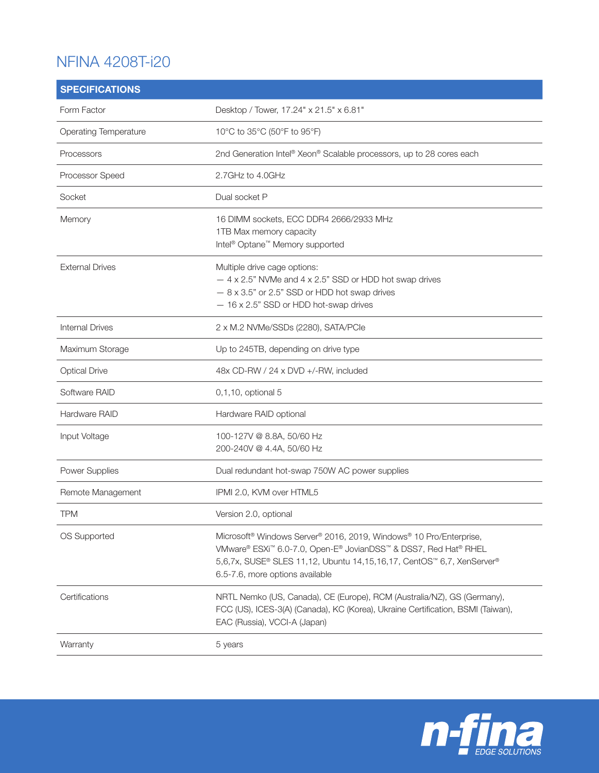## NFINA 4208T-i20

| <b>SPECIFICATIONS</b>        |                                                                                                                                                                                                                                                                                                               |
|------------------------------|---------------------------------------------------------------------------------------------------------------------------------------------------------------------------------------------------------------------------------------------------------------------------------------------------------------|
| Form Factor                  | Desktop / Tower, 17.24" x 21.5" x 6.81"                                                                                                                                                                                                                                                                       |
| <b>Operating Temperature</b> | 10°C to 35°C (50°F to 95°F)                                                                                                                                                                                                                                                                                   |
| Processors                   | 2nd Generation Intel® Xeon® Scalable processors, up to 28 cores each                                                                                                                                                                                                                                          |
| Processor Speed              | 2.7GHz to 4.0GHz                                                                                                                                                                                                                                                                                              |
| Socket                       | Dual socket P                                                                                                                                                                                                                                                                                                 |
| Memory                       | 16 DIMM sockets, ECC DDR4 2666/2933 MHz<br>1TB Max memory capacity<br>Intel <sup>®</sup> Optane <sup>™</sup> Memory supported                                                                                                                                                                                 |
| <b>External Drives</b>       | Multiple drive cage options:<br>$-4$ x 2.5" NVMe and $4$ x 2.5" SSD or HDD hot swap drives<br>$-8$ x 3.5" or 2.5" SSD or HDD hot swap drives<br>$-16 \times 2.5$ " SSD or HDD hot-swap drives                                                                                                                 |
| <b>Internal Drives</b>       | 2 x M.2 NVMe/SSDs (2280), SATA/PCle                                                                                                                                                                                                                                                                           |
| Maximum Storage              | Up to 245TB, depending on drive type                                                                                                                                                                                                                                                                          |
| <b>Optical Drive</b>         | 48x CD-RW / 24 x DVD +/-RW, included                                                                                                                                                                                                                                                                          |
| Software RAID                | 0,1,10, optional 5                                                                                                                                                                                                                                                                                            |
| Hardware RAID                | Hardware RAID optional                                                                                                                                                                                                                                                                                        |
| Input Voltage                | 100-127V @ 8.8A, 50/60 Hz<br>200-240V @ 4.4A, 50/60 Hz                                                                                                                                                                                                                                                        |
| Power Supplies               | Dual redundant hot-swap 750W AC power supplies                                                                                                                                                                                                                                                                |
| Remote Management            | IPMI 2.0, KVM over HTML5                                                                                                                                                                                                                                                                                      |
| <b>TPM</b>                   | Version 2.0, optional                                                                                                                                                                                                                                                                                         |
| OS Supported                 | Microsoft <sup>®</sup> Windows Server <sup>®</sup> 2016, 2019, Windows <sup>®</sup> 10 Pro/Enterprise,<br>VMware® ESXi <sup>™</sup> 6.0-7.0, Open-E® JovianDSS <sup>™</sup> & DSS7, Red Hat® RHEL<br>5,6,7x, SUSE® SLES 11,12, Ubuntu 14,15,16,17, CentOS™ 6,7, XenServer®<br>6.5-7.6, more options available |
| Certifications               | NRTL Nemko (US, Canada), CE (Europe), RCM (Australia/NZ), GS (Germany),<br>FCC (US), ICES-3(A) (Canada), KC (Korea), Ukraine Certification, BSMI (Taiwan),<br>EAC (Russia), VCCI-A (Japan)                                                                                                                    |
| Warranty                     | 5 years                                                                                                                                                                                                                                                                                                       |